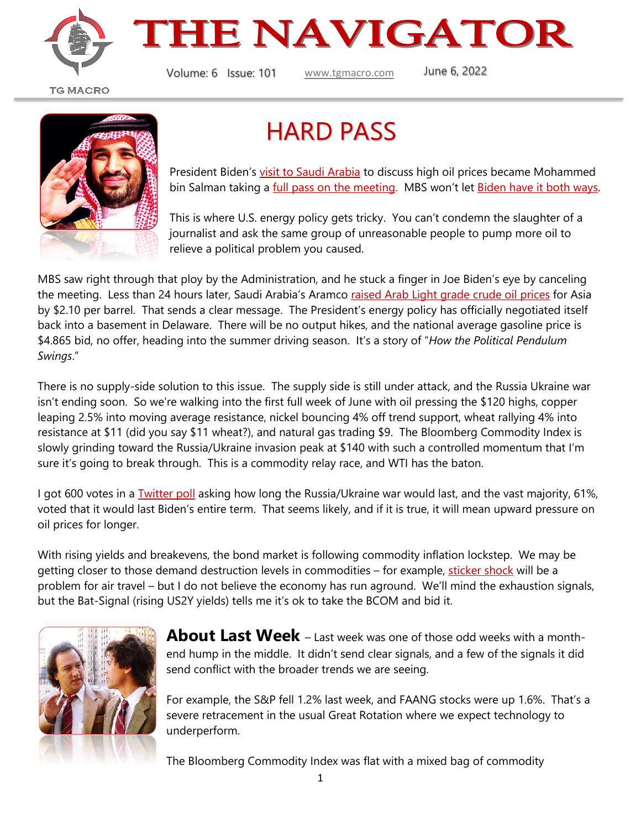

## **THE NAVIGATOR**

Volume: 6 Issue: 101 [www.tgmacro.com](http://www.tgmacro.com/) June 6, 2022

**TG MACRO** 



#### HARD PASS

President Biden's [visit to Saudi Arabia](https://oilprice.com/Latest-Energy-News/World-News/Biden-Set-To-Visit-Saudi-Arabia-To-Discuss-High-Oil-Prices.html) to discuss high oil prices became Mohammed bin Salman taking a [full pass on the meeting.](https://www.politico.com/newsletters/national-security-daily/2022/06/03/saudi-arabia-shows-biden-cant-have-it-all-00037167) MBS won't let [Biden have it both ways.](https://www.huffpost.com/entry/joe-biden-jamal-khashoggi-saudi-arabia_n_61898e32e4b06de3eb794391)

This is where U.S. energy policy gets tricky. You can't condemn the slaughter of a journalist and ask the same group of unreasonable people to pump more oil to relieve a political problem you caused.

MBS saw right through that ploy by the Administration, and he stuck a finger in Joe Biden's eye by canceling the meeting. Less than 24 hours later, Saudi Arabia's Aramco raised Arab [Light grade crude](https://www.bloomberg.com/news/articles/2022-06-05/saudis-raise-oil-prices-more-than-expected-amid-asia-rebound?sref=JdzP9trF) oil prices for Asia by \$2.10 per barrel. That sends a clear message. The President's energy policy has officially negotiated itself back into a basement in Delaware. There will be no output hikes, and the national average gasoline price is \$4.865 bid, no offer, heading into the summer driving season. It's a story of "*How the Political Pendulum Swings*."

There is no supply-side solution to this issue. The supply side is still under attack, and the Russia Ukraine war isn't ending soon. So we're walking into the first full week of June with oil pressing the \$120 highs, copper leaping 2.5% into moving average resistance, nickel bouncing 4% off trend support, wheat rallying 4% into resistance at \$11 (did you say \$11 wheat?), and natural gas trading \$9. The Bloomberg Commodity Index is slowly grinding toward the Russia/Ukraine invasion peak at \$140 with such a controlled momentum that I'm sure it's going to break through. This is a commodity relay race, and WTI has the baton.

I got 600 votes in a **Twitter poll** asking how long the Russia/Ukraine war would last, and the vast majority, 61%, voted that it would last Biden's entire term. That seems likely, and if it is true, it will mean upward pressure on oil prices for longer.

With rising yields and breakevens, the bond market is following commodity inflation lockstep. We may be getting closer to those demand destruction levels in commodities – for example, [sticker shock](https://www.bloomberg.com/news/articles/2022-05-25/severe-us-pilot-shortage-sends-airline-ticket-prices-soaring?utm_campaign=socialflow-organic&utm_content=businessweek&utm_source=twitter&cmpid=socialflow-twitter-businessweek&utm_medium=social&sref=JdzP9trF) will be a problem for air travel – but I do not believe the economy has run aground. We'll mind the exhaustion signals, but the Bat-Signal (rising US2Y yields) tells me it's ok to take the BCOM and bid it.



**About Last Week** – Last week was one of those odd weeks with a monthend hump in the middle. It didn't send clear signals, and a few of the signals it did send conflict with the broader trends we are seeing.

For example, the S&P fell 1.2% last week, and FAANG stocks were up 1.6%. That's a severe retracement in the usual Great Rotation where we expect technology to underperform.

The Bloomberg Commodity Index was flat with a mixed bag of commodity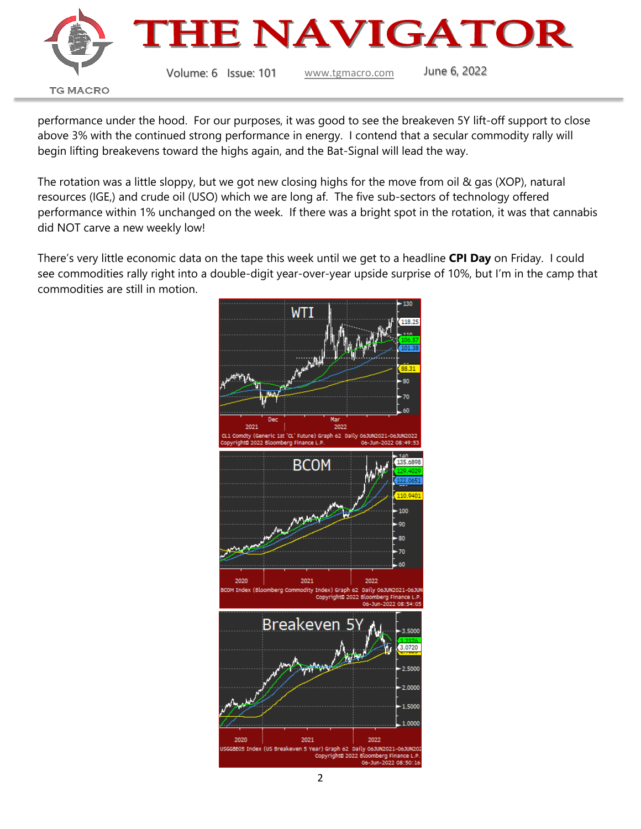

performance under the hood. For our purposes, it was good to see the breakeven 5Y lift-off support to close above 3% with the continued strong performance in energy. I contend that a secular commodity rally will begin lifting breakevens toward the highs again, and the Bat-Signal will lead the way.

The rotation was a little sloppy, but we got new closing highs for the move from oil & gas (XOP), natural resources (IGE,) and crude oil (USO) which we are long af. The five sub-sectors of technology offered performance within 1% unchanged on the week. If there was a bright spot in the rotation, it was that cannabis did NOT carve a new weekly low!

There's very little economic data on the tape this week until we get to a headline **CPI Day** on Friday. I could see commodities rally right into a double-digit year-over-year upside surprise of 10%, but I'm in the camp that commodities are still in motion.

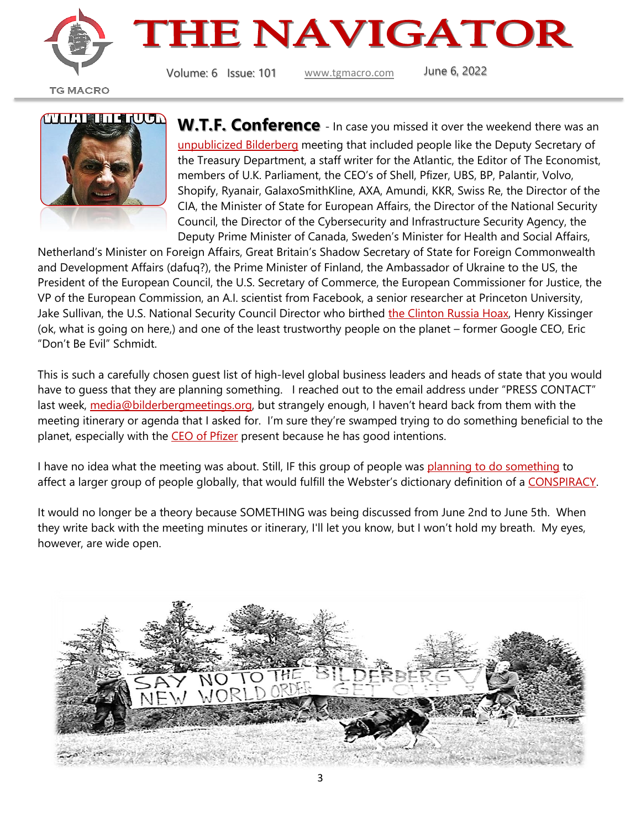

# **THE NAVIGATOR**

Volume: 6 Issue: 101 [www.tgmacro.com](http://www.tgmacro.com/) June 6, 2022

**TG MACRO** 



**W.T.F. Conference** - In case you missed it over the weekend there was an [unpublicized Bilderberg](https://www.bilderbergmeetings.org/press/press-release/participants) meeting that included people like the Deputy Secretary of the Treasury Department, a staff writer for the Atlantic, the Editor of The Economist, members of U.K. Parliament, the CEO's of Shell, Pfizer, UBS, BP, Palantir, Volvo, Shopify, Ryanair, GalaxoSmithKline, AXA, Amundi, KKR, Swiss Re, the Director of the CIA, the Minister of State for European Affairs, the Director of the National Security Council, the Director of the Cybersecurity and Infrastructure Security Agency, the Deputy Prime Minister of Canada, Sweden's Minister for Health and Social Affairs,

Netherland's Minister on Foreign Affairs, Great Britain's Shadow Secretary of State for Foreign Commonwealth and Development Affairs (dafuq?), the Prime Minister of Finland, the Ambassador of Ukraine to the US, the President of the European Council, the U.S. Secretary of Commerce, the European Commissioner for Justice, the VP of the European Commission, an A.I. scientist from Facebook, a senior researcher at Princeton University, Jake Sullivan, the U.S. National Security Council Director who birthed [the Clinton Russia Hoax,](https://www.dailymail.co.uk/news/article-10515089/Durham-probe-Republicans-Bidens-NSA-Jake-Sullivan-hot-seat-Hillary-spying-claims.html) Henry Kissinger (ok, what is going on here,) and one of the least trustworthy people on the planet – former Google CEO, Eric "Don't Be Evil" Schmidt.

This is such a carefully chosen guest list of high-level global business leaders and heads of state that you would have to quess that they are planning something. I reached out to the email address under "PRESS CONTACT" last week, [media@bilderbergmeetings.org,](mailto:media@bilderbergmeetings.org) but strangely enough, I haven't heard back from them with the meeting itinerary or agenda that I asked for. I'm sure they're swamped trying to do something beneficial to the planet, especially with the [CEO of Pfizer](https://www.usnews.com/news/top-news/articles/2022-06-02/pfizer-seeks-u-s-authorization-of-covid-vaccine-for-young-children) present because he has good intentions.

I have no idea what the meeting was about. Still, IF this group of people was [planning to do something](https://bilderbergmeetings.org/index.html) to affect a larger group of people globally, that would fulfill the Webster's dictionary definition of a [CONSPIRACY.](https://www.merriam-webster.com/dictionary/conspiracy?utm_campaign=sd&utm_medium=serp&utm_source=jsonld)

It would no longer be a theory because SOMETHING was being discussed from June 2nd to June 5th. When they write back with the meeting minutes or itinerary, I'll let you know, but I won't hold my breath. My eyes, however, are wide open.

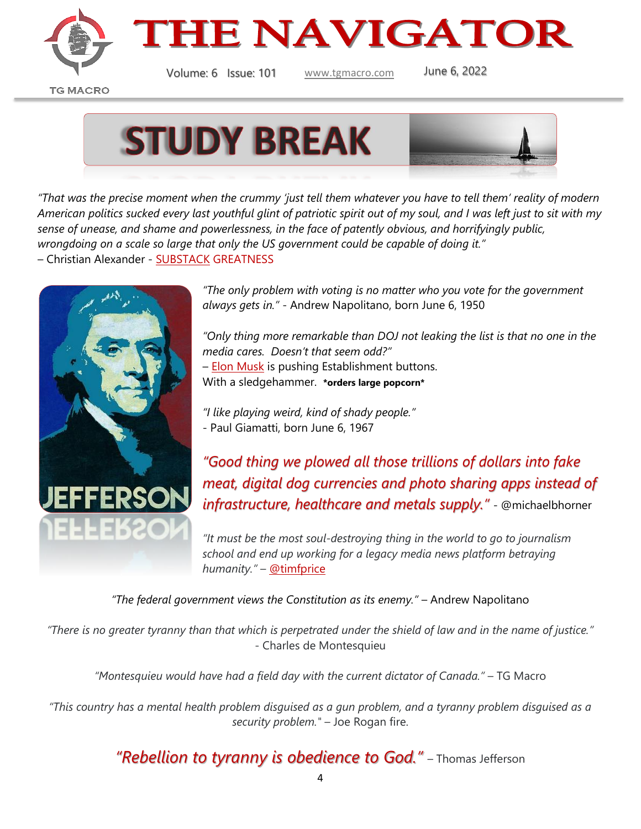



Volume: 6 Issue: 101 [www.tgmacro.com](http://www.tgmacro.com/) June 6, 2022

**TG MACRO** 



*"That was the precise moment when the crummy 'just tell them whatever you have to tell them' reality of modern American politics sucked every last youthful glint of patriotic spirit out of my soul, and I was left just to sit with my sense of unease, and shame and powerlessness, in the face of patently obvious, and horrifyingly public, wrongdoing on a scale so large that only the US government could be capable of doing it."* – Christian Alexander - [SUBSTACK](https://norebates.substack.com/p/say-anything?s=r) GREATNESS



*"The only problem with voting is no matter who you vote for the government always gets in."* - Andrew Napolitano, born June 6, 1950

*"Only thing more remarkable than DOJ not leaking the list is that no one in the media cares. Doesn't that seem odd?"* – [Elon Musk](https://twitter.com/elonmusk/status/1533161114586042369?ref_src=twsrc%5Etfw%7Ctwcamp%5Etweetembed%7Ctwterm%5E1533173533966221312%7Ctwgr%5E%7Ctwcon%5Es2_&ref_url=https%3A%2F%2Fwww.zerohedge.com%2Fpolitical%2Felon-musk-wonders-why-doj-hasnt-leaked-epstein-client-list-and-media-doesnt-care) is pushing Establishment buttons. With a sledgehammer. **\*orders large popcorn\***

*"I like playing weird, kind of shady people."*

- Paul Giamatti, born June 6, 1967

*"Good thing we plowed all those trillions of dollars into fake meat, digital dog currencies and photo sharing apps instead of infrastructure, healthcare and metals supply."* - @michaelbhorner

*"It must be the most soul-destroying thing in the world to go to journalism school and end up working for a legacy media news platform betraying humanity."* – [@timfprice](https://twitter.com/timfprice/status/1533692227913916416?s=11&t=psaIn9vRiEwhpqNM4M8ZQg)

*"The federal government views the Constitution as its enemy."* – Andrew Napolitano

*"There is no greater tyranny than that which is perpetrated under the shield of law and in the name of justice."* - Charles de Montesquieu

*"Montesquieu would have had a field day with the current dictator of Canada."* – TG Macro

*"This country has a mental health problem disguised as a gun problem, and a tyranny problem disguised as a security problem."* – Joe Rogan fire.

*"Rebellion to tyranny is obedience to God."* – Thomas Jefferson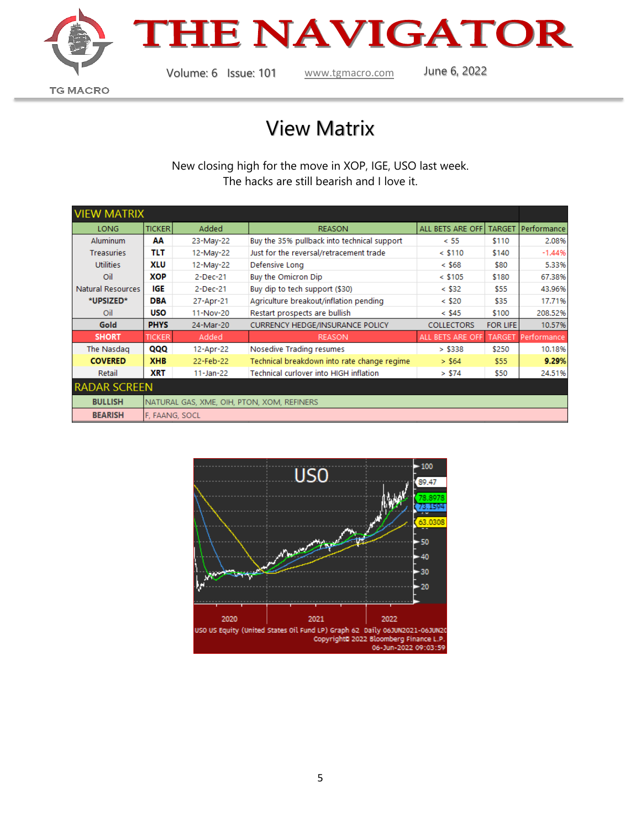

### THE NAVIGATOR

**TG MACRO** 

Volume: 6 Issue: 101 [www.tgmacro.com](http://www.tgmacro.com/) June 6, 2022

#### View Matrix

New closing high for the move in XOP, IGE, USO last week. The hacks are still bearish and I love it.

| <b>VIEW MATRIX</b>  |                                            |               |                                             |                   |                 |             |
|---------------------|--------------------------------------------|---------------|---------------------------------------------|-------------------|-----------------|-------------|
| <b>LONG</b>         | <b>TICKER</b>                              | Added         | <b>REASON</b>                               | ALL BETS ARE OFF  | <b>TARGET</b>   | Performance |
| <b>Aluminum</b>     | АΑ                                         | 23-May-22     | Buy the 35% pullback into technical support | < 55              | \$110           | 2.08%       |
| <b>Treasuries</b>   | TLT                                        | 12-May-22     | Just for the reversal/retracement trade     | $<$ \$110         | \$140           | $-1.44%$    |
| <b>Utilities</b>    | <b>XLU</b>                                 | 12-May-22     | Defensive Long                              | $<$ \$68          | \$80            | 5.33%       |
| Oil                 | ХОР                                        | 2-Dec-21      | Buy the Omicron Dip                         | $<$ \$105         | \$180           | 67.38%      |
| Natural Resources   | <b>IGE</b>                                 | 2-Dec-21      | Buy dip to tech support (\$30)              | $<$ \$32          | \$55            | 43.96%      |
| *UPSIZED*           | DBA                                        | 27-Apr-21     | Agriculture breakout/inflation pending      | $<$ \$20          | \$35            | 17.71%      |
| Oil                 | <b>USO</b>                                 | 11-Nov-20     | Restart prospects are bullish               | $<$ \$45          | \$100           | 208.52%     |
| <b>Gold</b>         | <b>PHYS</b>                                | 24-Mar-20     | <b>CURRENCY HEDGE/INSURANCE POLICY</b>      | <b>COLLECTORS</b> | <b>FOR LIFE</b> | 10.57%      |
| <b>SHORT</b>        | <b>TICKER</b>                              | Added         | <b>REASON</b>                               | ALL BETS ARE OFF  | <b>TARGET</b>   | Performance |
| The Nasdag          | QQQ                                        | 12-Apr-22     | Nosedive Trading resumes                    | > \$338           | \$250           | 10.18%      |
| <b>COVERED</b>      | <b>XHB</b>                                 | 22-Feb-22     | Technical breakdown into rate change regime | > \$64            | \$55            | 9.29%       |
| Retail              | XRT                                        | $11 - Jan-22$ | Technical curlover into HIGH inflation      | > \$74            | \$50            | 24.51%      |
| <b>RADAR SCREEN</b> |                                            |               |                                             |                   |                 |             |
| <b>BULLISH</b>      | NATURAL GAS, XME, OIH, PTON, XOM, REFINERS |               |                                             |                   |                 |             |
| <b>BEARISH</b>      | F, FAANG, SOCL                             |               |                                             |                   |                 |             |